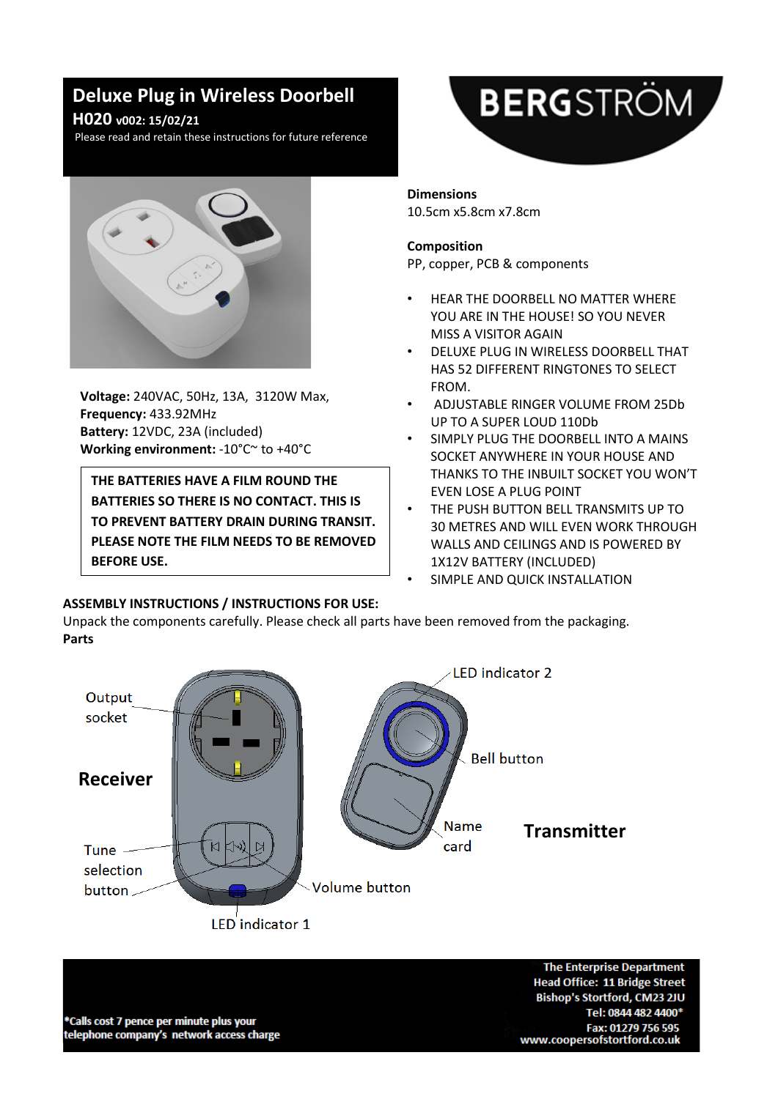# **Deluxe Plug in Wireless Doorbell**

### **H020 v002: 15/02/21**

Please read and retain these instructions for future reference



**Voltage:** 240VAC, 50Hz, 13A, 3120W Max, **Frequency:** 433.92MHz **Battery:** 12VDC, 23A (included) **Working environment:** -10°C~ to +40°C

**THE BATTERIES HAVE A FILM ROUND THE BATTERIES SO THERE IS NO CONTACT. THIS IS TO PREVENT BATTERY DRAIN DURING TRANSIT. PLEASE NOTE THE FILM NEEDS TO BE REMOVED BEFORE USE.**

# **BERG**STRÖM

## **Dimensions**

10.5cm x5.8cm x7.8cm

#### **Composition**

PP, copper, PCB & components

- HEAR THE DOORBELL NO MATTER WHERE YOU ARE IN THE HOUSE! SO YOU NEVER MISS A VISITOR AGAIN
- DELUXE PLUG IN WIRELESS DOORBELL THAT HAS 52 DIFFERENT RINGTONES TO SELECT FROM.
- ADJUSTABLE RINGER VOLUME FROM 25Db UP TO A SUPER LOUD 110Db
- SIMPLY PLUG THE DOORBELL INTO A MAINS SOCKET ANYWHERE IN YOUR HOUSE AND THANKS TO THE INBUILT SOCKET YOU WON'T EVEN LOSE A PLUG POINT
- THE PUSH BUTTON BELL TRANSMITS UP TO 30 METRES AND WILL EVEN WORK THROUGH WALLS AND CEILINGS AND IS POWERED BY 1X12V BATTERY (INCLUDED)
- SIMPLE AND QUICK INSTALLATION

#### **ASSEMBLY INSTRUCTIONS / INSTRUCTIONS FOR USE:**

Unpack the components carefully. Please check all parts have been removed from the packaging. **Parts**



**The Enterprise Department Head Office: 11 Bridge Street** Bishop's Stortford, CM23 2JU Tel: 0844 482 4400\* Fax: 01279 756 595 www.coopersofstortford.co.uk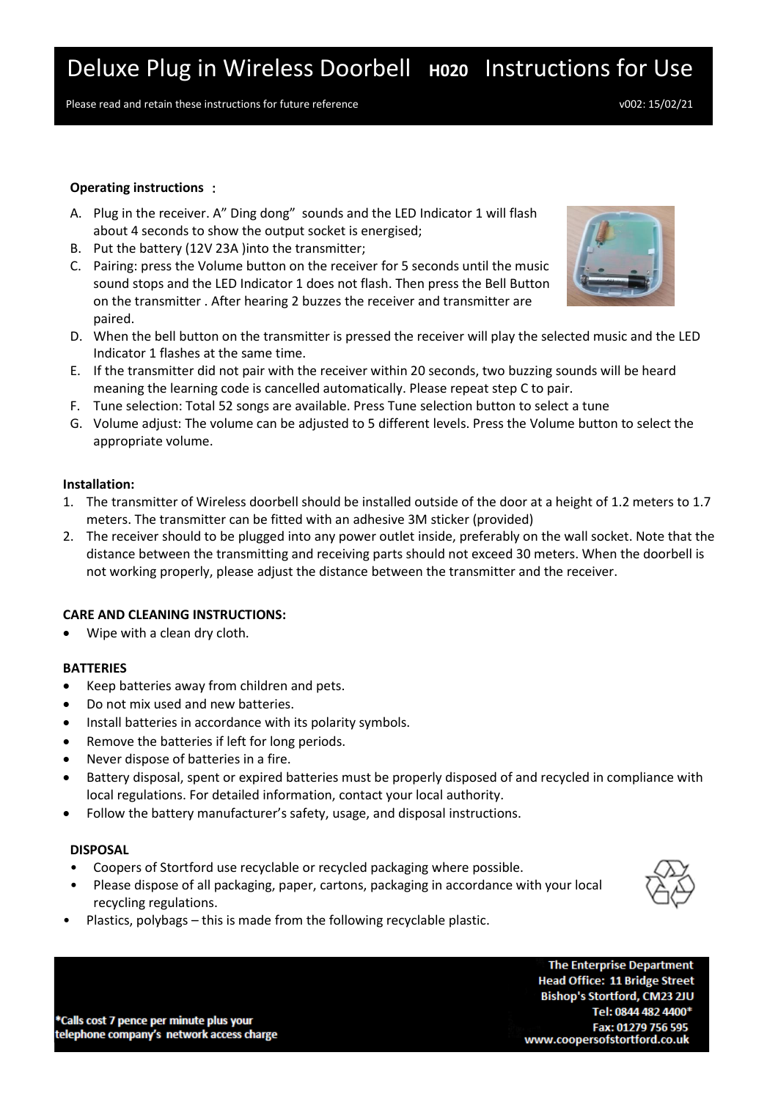Please read and retain these instructions for future reference v002: 15/02/21

#### **Operating instructions** :

- A. Plug in the receiver. A" Ding dong" sounds and the LED Indicator 1 will flash about 4 seconds to show the output socket is energised;
- B. Put the battery (12V 23A )into the transmitter;
- C. Pairing: press the Volume button on the receiver for 5 seconds until the music sound stops and the LED Indicator 1 does not flash. Then press the Bell Button on the transmitter . After hearing 2 buzzes the receiver and transmitter are paired.



- D. When the bell button on the transmitter is pressed the receiver will play the selected music and the LED Indicator 1 flashes at the same time.
- E. If the transmitter did not pair with the receiver within 20 seconds, two buzzing sounds will be heard meaning the learning code is cancelled automatically. Please repeat step C to pair.
- F. Tune selection: Total 52 songs are available. Press Tune selection button to select a tune
- G. Volume adjust: The volume can be adjusted to 5 different levels. Press the Volume button to select the appropriate volume.

#### **Installation:**

- 1. The transmitter of Wireless doorbell should be installed outside of the door at a height of 1.2 meters to 1.7 meters. The transmitter can be fitted with an adhesive 3M sticker (provided)
- 2. The receiver should to be plugged into any power outlet inside, preferably on the wall socket. Note that the distance between the transmitting and receiving parts should not exceed 30 meters. When the doorbell is not working properly, please adjust the distance between the transmitter and the receiver.

#### **CARE AND CLEANING INSTRUCTIONS:**

• Wipe with a clean dry cloth.

#### **BATTERIES**

- Keep batteries away from children and pets.
- Do not mix used and new batteries.
- Install batteries in accordance with its polarity symbols.
- Remove the batteries if left for long periods.
- Never dispose of batteries in a fire.
- Battery disposal, spent or expired batteries must be properly disposed of and recycled in compliance with local regulations. For detailed information, contact your local authority.
- Follow the battery manufacturer's safety, usage, and disposal instructions.

#### **DISPOSAL**

- Coopers of Stortford use recyclable or recycled packaging where possible.
- Please dispose of all packaging, paper, cartons, packaging in accordance with your local recycling regulations.



• Plastics, polybags – this is made from the following recyclable plastic.

\*Calls cost 7 pence per minute plus your telephone company's network access charge

**The Enterprise Department Head Office: 11 Bridge Street** Bishop's Stortford, CM23 2JU Tel: 0844 482 4400\* Fax: 01279 756 595 www.coopersofstortford.co.uk